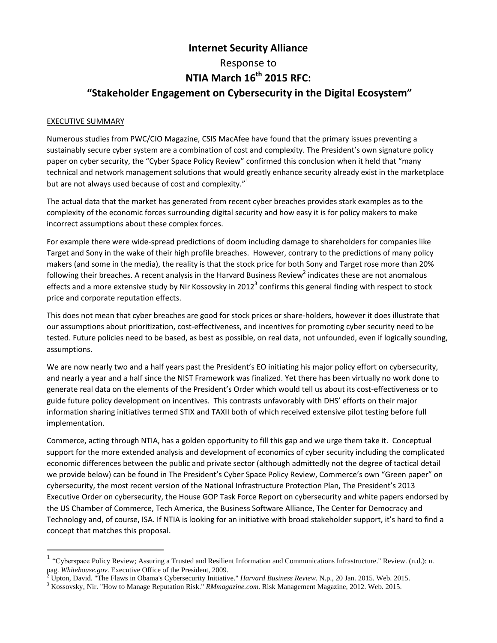# **Internet Security Alliance** Response to **NTIA March 16th 2015 RFC: "Stakeholder Engagement on Cybersecurity in the Digital Ecosystem"**

#### EXECUTIVE SUMMARY

Numerous studies from PWC/CIO Magazine, CSIS MacAfee have found that the primary issues preventing a sustainably secure cyber system are a combination of cost and complexity. The President's own signature policy paper on cyber security, the "Cyber Space Policy Review" confirmed this conclusion when it held that "many technical and network management solutions that would greatly enhance security already exist in the marketplace but are not always used because of cost and complexity."<sup>1</sup>

The actual data that the market has generated from recent cyber breaches provides stark examples as to the complexity of the economic forces surrounding digital security and how easy it is for policy makers to make incorrect assumptions about these complex forces.

For example there were wide-spread predictions of doom including damage to shareholders for companies like Target and Sony in the wake of their high profile breaches. However, contrary to the predictions of many policy makers (and some in the media), the reality is that the stock price for both Sony and Target rose more than 20% following their breaches. A recent analysis in the Harvard Business Review<sup>2</sup> indicates these are not anomalous effects and a more extensive study by Nir Kossovsky in 2012<sup>3</sup> confirms this general finding with respect to stock price and corporate reputation effects.

This does not mean that cyber breaches are good for stock prices or share-holders, however it does illustrate that our assumptions about prioritization, cost-effectiveness, and incentives for promoting cyber security need to be tested. Future policies need to be based, as best as possible, on real data, not unfounded, even if logically sounding, assumptions.

We are now nearly two and a half years past the President's EO initiating his major policy effort on cybersecurity, and nearly a year and a half since the NIST Framework was finalized. Yet there has been virtually no work done to generate real data on the elements of the President's Order which would tell us about its cost-effectiveness or to guide future policy development on incentives. This contrasts unfavorably with DHS' efforts on their major information sharing initiatives termed STIX and TAXII both of which received extensive pilot testing before full implementation.

Commerce, acting through NTIA, has a golden opportunity to fill this gap and we urge them take it. Conceptual support for the more extended analysis and development of economics of cyber security including the complicated economic differences between the public and private sector (although admittedly not the degree of tactical detail we provide below) can be found in The President's Cyber Space Policy Review, Commerce's own "Green paper" on cybersecurity, the most recent version of the National Infrastructure Protection Plan, The President's 2013 Executive Order on cybersecurity, the House GOP Task Force Report on cybersecurity and white papers endorsed by the US Chamber of Commerce, Tech America, the Business Software Alliance, The Center for Democracy and Technology and, of course, ISA. If NTIA is looking for an initiative with broad stakeholder support, it's hard to find a concept that matches this proposal.

 1 "Cyberspace Policy Review; Assuring a Trusted and Resilient Information and Communications Infrastructure." Review. (n.d.): n. pag. *Whitehouse.gov*. Executive Office of the President, 2009.

<sup>2</sup> Upton, David. "The Flaws in Obama's Cybersecurity Initiative." *Harvard Business Review*. N.p., 20 Jan. 2015. Web. 2015.

<sup>3</sup> Kossovsky, Nir. "How to Manage Reputation Risk." *RMmagazine.com*. Risk Management Magazine, 2012. Web. 2015.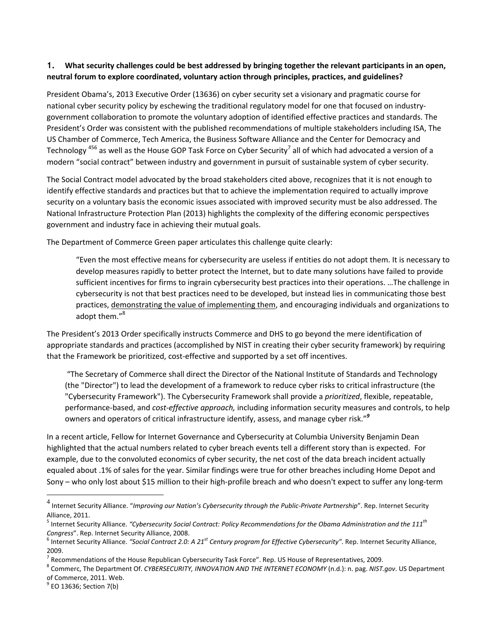# 1. What security challenges could be best addressed by bringing together the relevant participants in an open, **neutral forum to explore coordinated, voluntary action through principles, practices, and guidelines?**

President Obama's, 2013 Executive Order (13636) on cyber security set a visionary and pragmatic course for national cyber security policy by eschewing the traditional regulatory model for one that focused on industrygovernment collaboration to promote the voluntary adoption of identified effective practices and standards. The President's Order was consistent with the published recommendations of multiple stakeholders including ISA, The US Chamber of Commerce, Tech America, the Business Software Alliance and the Center for Democracy and Technology <sup>456</sup> as well as the House GOP Task Force on Cyber Security<sup>7</sup> all of which had advocated a version of a modern "social contract" between industry and government in pursuit of sustainable system of cyber security.

The Social Contract model advocated by the broad stakeholders cited above, recognizes that it is not enough to identify effective standards and practices but that to achieve the implementation required to actually improve security on a voluntary basis the economic issues associated with improved security must be also addressed. The National Infrastructure Protection Plan (2013) highlights the complexity of the differing economic perspectives government and industry face in achieving their mutual goals.

The Department of Commerce Green paper articulates this challenge quite clearly:

"Even the most effective means for cybersecurity are useless if entities do not adopt them. It is necessary to develop measures rapidly to better protect the Internet, but to date many solutions have failed to provide sufficient incentives for firms to ingrain cybersecurity best practices into their operations. …The challenge in cybersecurity is not that best practices need to be developed, but instead lies in communicating those best practices, demonstrating the value of implementing them, and encouraging individuals and organizations to adopt them."<sup>8</sup>

The President's 2013 Order specifically instructs Commerce and DHS to go beyond the mere identification of appropriate standards and practices (accomplished by NIST in creating their cyber security framework) by requiring that the Framework be prioritized, cost-effective and supported by a set off incentives.

"The Secretary of Commerce shall direct the Director of the National Institute of Standards and Technology (the "Director") to lead the development of a framework to reduce cyber risks to critical infrastructure (the "Cybersecurity Framework"). The Cybersecurity Framework shall provide a *prioritized*, flexible, repeatable, performance-based, and *cost-effective approach,* including information security measures and controls, to help owners and operators of critical infrastructure identify, assess, and manage cyber risk."*<sup>9</sup>*

In a recent article, Fellow for Internet Governance and Cybersecurity at Columbia University Benjamin Dean highlighted that the actual numbers related to cyber breach events tell a different story than is expected. For example, due to the convoluted economics of cyber security, the net cost of the data breach incident actually equaled about .1% of sales for the year. Similar findings were true for other breaches including Home Depot and Sony – who only lost about \$15 million to their high-profile breach and who doesn't expect to suffer any long-term

 $\overline{a}$ 

<sup>4</sup> Internet Security Alliance. "*Improving our Nation's Cybersecurity through the Public‐Private Partnership*". Rep. Internet Security Alliance, 2011.

<sup>5</sup> Internet Security Alliance. *"Cybersecurity Social Contract: Policy Recommendations for the Obama Administration and the 111th Congress*". Rep. Internet Security Alliance, 2008.

<sup>6</sup> Internet Security Alliance. *"Social Contract 2.0: A 21st Century program for Effective Cybersecurity"*. Rep. Internet Security Alliance, 2009.

<sup>&</sup>lt;sup>7</sup> Recommendations of the House Republican Cybersecurity Task Force". Rep. US House of Representatives, 2009.

<sup>8</sup> Commerc, The Department Of. *CYBERSECURITY, INNOVATION AND THE INTERNET ECONOMY* (n.d.): n. pag. *NIST.gov*. US Department of Commerce, 2011. Web.

 $^9$  EO 13636; Section 7(b)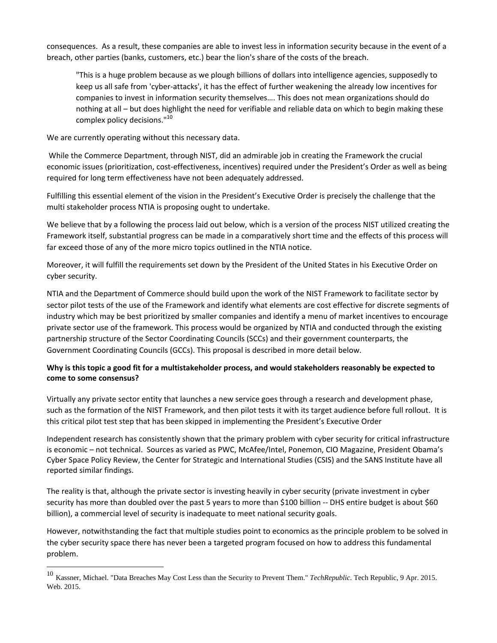consequences. As a result, these companies are able to invest less in information security because in the event of a breach, other parties (banks, customers, etc.) bear the lion's share of the costs of the breach.

"This is a huge problem because as we plough billions of dollars into intelligence agencies, supposedly to keep us all safe from 'cyber-attacks', it has the effect of further weakening the already low incentives for companies to invest in information security themselves…. This does not mean organizations should do nothing at all – but does highlight the need for verifiable and reliable data on which to begin making these complex policy decisions."<sup>10</sup>

We are currently operating without this necessary data.

 $\overline{a}$ 

While the Commerce Department, through NIST, did an admirable job in creating the Framework the crucial economic issues (prioritization, cost-effectiveness, incentives) required under the President's Order as well as being required for long term effectiveness have not been adequately addressed.

Fulfilling this essential element of the vision in the President's Executive Order is precisely the challenge that the multi stakeholder process NTIA is proposing ought to undertake.

We believe that by a following the process laid out below, which is a version of the process NIST utilized creating the Framework itself, substantial progress can be made in a comparatively short time and the effects of this process will far exceed those of any of the more micro topics outlined in the NTIA notice.

Moreover, it will fulfill the requirements set down by the President of the United States in his Executive Order on cyber security.

NTIA and the Department of Commerce should build upon the work of the NIST Framework to facilitate sector by sector pilot tests of the use of the Framework and identify what elements are cost effective for discrete segments of industry which may be best prioritized by smaller companies and identify a menu of market incentives to encourage private sector use of the framework. This process would be organized by NTIA and conducted through the existing partnership structure of the Sector Coordinating Councils (SCCs) and their government counterparts, the Government Coordinating Councils (GCCs). This proposal is described in more detail below.

# Why is this topic a good fit for a multistakeholder process, and would stakeholders reasonably be expected to **come to some consensus?**

Virtually any private sector entity that launches a new service goes through a research and development phase, such as the formation of the NIST Framework, and then pilot tests it with its target audience before full rollout. It is this critical pilot test step that has been skipped in implementing the President's Executive Order

Independent research has consistently shown that the primary problem with cyber security for critical infrastructure is economic – not technical. Sources as varied as PWC, McAfee/Intel, Ponemon, CIO Magazine, President Obama's Cyber Space Policy Review, the Center for Strategic and International Studies (CSIS) and the SANS Institute have all reported similar findings.

The reality is that, although the private sector is investing heavily in cyber security (private investment in cyber security has more than doubled over the past 5 years to more than \$100 billion -- DHS entire budget is about \$60 billion), a commercial level of security is inadequate to meet national security goals.

However, notwithstanding the fact that multiple studies point to economics as the principle problem to be solved in the cyber security space there has never been a targeted program focused on how to address this fundamental problem.

<sup>10</sup> Kassner, Michael. "Data Breaches May Cost Less than the Security to Prevent Them." *TechRepublic*. Tech Republic, <sup>9</sup> Apr. 2015. Web. 2015.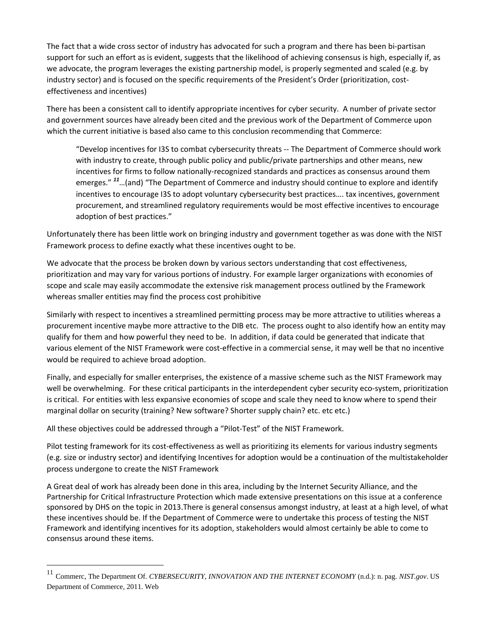The fact that a wide cross sector of industry has advocated for such a program and there has been bi-partisan support for such an effort as is evident, suggests that the likelihood of achieving consensus is high, especially if, as we advocate, the program leverages the existing partnership model, is properly segmented and scaled (e.g. by industry sector) and is focused on the specific requirements of the President's Order (prioritization, costeffectiveness and incentives)

There has been a consistent call to identify appropriate incentives for cyber security. A number of private sector and government sources have already been cited and the previous work of the Department of Commerce upon which the current initiative is based also came to this conclusion recommending that Commerce:

"Develop incentives for I3S to combat cybersecurity threats -- The Department of Commerce should work with industry to create, through public policy and public/private partnerships and other means, new incentives for firms to follow nationally-recognized standards and practices as consensus around them emerges." *<sup>11</sup>*…(and) "The Department of Commerce and industry should continue to explore and identify incentives to encourage I3S to adopt voluntary cybersecurity best practices…. tax incentives, government procurement, and streamlined regulatory requirements would be most effective incentives to encourage adoption of best practices."

Unfortunately there has been little work on bringing industry and government together as was done with the NIST Framework process to define exactly what these incentives ought to be.

We advocate that the process be broken down by various sectors understanding that cost effectiveness, prioritization and may vary for various portions of industry. For example larger organizations with economies of scope and scale may easily accommodate the extensive risk management process outlined by the Framework whereas smaller entities may find the process cost prohibitive

Similarly with respect to incentives a streamlined permitting process may be more attractive to utilities whereas a procurement incentive maybe more attractive to the DIB etc. The process ought to also identify how an entity may qualify for them and how powerful they need to be. In addition, if data could be generated that indicate that various element of the NIST Framework were cost-effective in a commercial sense, it may well be that no incentive would be required to achieve broad adoption.

Finally, and especially for smaller enterprises, the existence of a massive scheme such as the NIST Framework may well be overwhelming. For these critical participants in the interdependent cyber security eco-system, prioritization is critical. For entities with less expansive economies of scope and scale they need to know where to spend their marginal dollar on security (training? New software? Shorter supply chain? etc. etc etc.)

All these objectives could be addressed through a "Pilot-Test" of the NIST Framework.

 $\overline{a}$ 

Pilot testing framework for its cost-effectiveness as well as prioritizing its elements for various industry segments (e.g. size or industry sector) and identifying Incentives for adoption would be a continuation of the multistakeholder process undergone to create the NIST Framework

A Great deal of work has already been done in this area, including by the Internet Security Alliance, and the Partnership for Critical Infrastructure Protection which made extensive presentations on this issue at a conference sponsored by DHS on the topic in 2013.There is general consensus amongst industry, at least at a high level, of what these incentives should be. If the Department of Commerce were to undertake this process of testing the NIST Framework and identifying incentives for its adoption, stakeholders would almost certainly be able to come to consensus around these items.

<sup>11</sup> Commerc, The Department Of. *CYBERSECURITY, INNOVATION AND THE INTERNET ECONOMY* (n.d.): n. pag. *NIST.gov*. US Department of Commerce, 2011. Web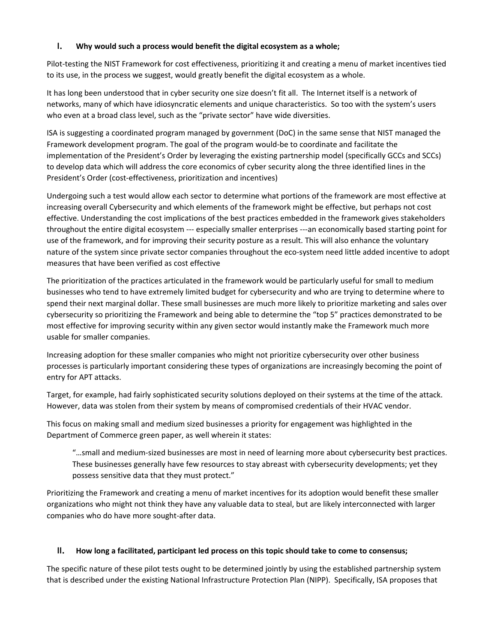### **I. Why would such a process would benefit the digital ecosystem as a whole;**

Pilot-testing the NIST Framework for cost effectiveness, prioritizing it and creating a menu of market incentives tied to its use, in the process we suggest, would greatly benefit the digital ecosystem as a whole.

It has long been understood that in cyber security one size doesn't fit all. The Internet itself is a network of networks, many of which have idiosyncratic elements and unique characteristics. So too with the system's users who even at a broad class level, such as the "private sector" have wide diversities.

ISA is suggesting a coordinated program managed by government (DoC) in the same sense that NIST managed the Framework development program. The goal of the program would-be to coordinate and facilitate the implementation of the President's Order by leveraging the existing partnership model (specifically GCCs and SCCs) to develop data which will address the core economics of cyber security along the three identified lines in the President's Order (cost-effectiveness, prioritization and incentives)

Undergoing such a test would allow each sector to determine what portions of the framework are most effective at increasing overall Cybersecurity and which elements of the framework might be effective, but perhaps not cost effective. Understanding the cost implications of the best practices embedded in the framework gives stakeholders throughout the entire digital ecosystem --- especially smaller enterprises ---an economically based starting point for use of the framework, and for improving their security posture as a result. This will also enhance the voluntary nature of the system since private sector companies throughout the eco-system need little added incentive to adopt measures that have been verified as cost effective

The prioritization of the practices articulated in the framework would be particularly useful for small to medium businesses who tend to have extremely limited budget for cybersecurity and who are trying to determine where to spend their next marginal dollar. These small businesses are much more likely to prioritize marketing and sales over cybersecurity so prioritizing the Framework and being able to determine the "top 5" practices demonstrated to be most effective for improving security within any given sector would instantly make the Framework much more usable for smaller companies.

Increasing adoption for these smaller companies who might not prioritize cybersecurity over other business processes is particularly important considering these types of organizations are increasingly becoming the point of entry for APT attacks.

Target, for example, had fairly sophisticated security solutions deployed on their systems at the time of the attack. However, data was stolen from their system by means of compromised credentials of their HVAC vendor.

This focus on making small and medium sized businesses a priority for engagement was highlighted in the Department of Commerce green paper, as well wherein it states:

"…small and medium-sized businesses are most in need of learning more about cybersecurity best practices. These businesses generally have few resources to stay abreast with cybersecurity developments; yet they possess sensitive data that they must protect."

Prioritizing the Framework and creating a menu of market incentives for its adoption would benefit these smaller organizations who might not think they have any valuable data to steal, but are likely interconnected with larger companies who do have more sought-after data.

### **II. How long a facilitated, participant led process on this topic should take to come to consensus;**

The specific nature of these pilot tests ought to be determined jointly by using the established partnership system that is described under the existing National Infrastructure Protection Plan (NIPP). Specifically, ISA proposes that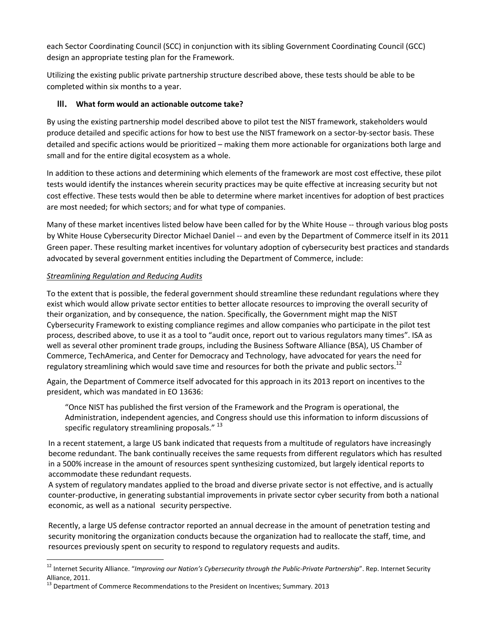each Sector Coordinating Council (SCC) in conjunction with its sibling Government Coordinating Council (GCC) design an appropriate testing plan for the Framework.

Utilizing the existing public private partnership structure described above, these tests should be able to be completed within six months to a year.

# **III. What form would an actionable outcome take?**

By using the existing partnership model described above to pilot test the NIST framework, stakeholders would produce detailed and specific actions for how to best use the NIST framework on a sector-by-sector basis. These detailed and specific actions would be prioritized – making them more actionable for organizations both large and small and for the entire digital ecosystem as a whole.

In addition to these actions and determining which elements of the framework are most cost effective, these pilot tests would identify the instances wherein security practices may be quite effective at increasing security but not cost effective. These tests would then be able to determine where market incentives for adoption of best practices are most needed; for which sectors; and for what type of companies.

Many of these market incentives listed below have been called for by the White House -- through various blog posts by White House Cybersecurity Director Michael Daniel -- and even by the Department of Commerce itself in its 2011 Green paper. These resulting market incentives for voluntary adoption of cybersecurity best practices and standards advocated by several government entities including the Department of Commerce, include:

### *Streamlining Regulation and Reducing Audits*

 $\overline{a}$ 

To the extent that is possible, the federal government should streamline these redundant regulations where they exist which would allow private sector entities to better allocate resources to improving the overall security of their organization, and by consequence, the nation. Specifically, the Government might map the NIST Cybersecurity Framework to existing compliance regimes and allow companies who participate in the pilot test process, described above, to use it as a tool to "audit once, report out to various regulators many times". ISA as well as several other prominent trade groups, including the Business Software Alliance (BSA), US Chamber of Commerce, TechAmerica, and Center for Democracy and Technology, have advocated for years the need for regulatory streamlining which would save time and resources for both the private and public sectors.<sup>12</sup>

Again, the Department of Commerce itself advocated for this approach in its 2013 report on incentives to the president, which was mandated in EO 13636:

"Once NIST has published the first version of the Framework and the Program is operational, the Administration, independent agencies, and Congress should use this information to inform discussions of specific regulatory streamlining proposals. $"$ <sup>13</sup>

In a recent statement, a large US bank indicated that requests from a multitude of regulators have increasingly become redundant. The bank continually receives the same requests from different regulators which has resulted in a 500% increase in the amount of resources spent synthesizing customized, but largely identical reports to accommodate these redundant requests.

A system of regulatory mandates applied to the broad and diverse private sector is not effective, and is actually counter-productive, in generating substantial improvements in private sector cyber security from both a national economic, as well as a national security perspective.

Recently, a large US defense contractor reported an annual decrease in the amount of penetration testing and security monitoring the organization conducts because the organization had to reallocate the staff, time, and resources previously spent on security to respond to regulatory requests and audits.

<sup>12</sup> Internet Security Alliance. "*Improving our Nation's Cybersecurity through the Public‐Private Partnership*". Rep. Internet Security Alliance, 2011.

<sup>&</sup>lt;sup>13</sup> Department of Commerce Recommendations to the President on Incentives; Summary. 2013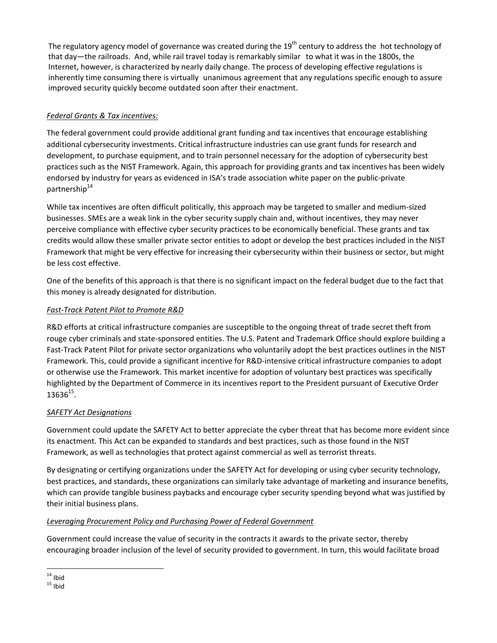The regulatory agency model of governance was created during the  $19<sup>th</sup>$  century to address the hot technology of that day—the railroads. And, while rail travel today is remarkably similar to what it was in the 1800s, the Internet, however, is characterized by nearly daily change. The process of developing effective regulations is inherently time consuming there is virtually unanimous agreement that any regulations specific enough to assure improved security quickly become outdated soon after their enactment.

# *Federal Grants & Tax incentives:*

The federal government could provide additional grant funding and tax incentives that encourage establishing additional cybersecurity investments. Critical infrastructure industries can use grant funds for research and development, to purchase equipment, and to train personnel necessary for the adoption of cybersecurity best practices such as the NIST Framework. Again, this approach for providing grants and tax incentives has been widely endorsed by industry for years as evidenced in ISA's trade association white paper on the public-private partnership<sup>14</sup>

While tax incentives are often difficult politically, this approach may be targeted to smaller and medium-sized businesses. SMEs are a weak link in the cyber security supply chain and, without incentives, they may never perceive compliance with effective cyber security practices to be economically beneficial. These grants and tax credits would allow these smaller private sector entities to adopt or develop the best practices included in the NIST Framework that might be very effective for increasing their cybersecurity within their business or sector, but might be less cost effective.

One of the benefits of this approach is that there is no significant impact on the federal budget due to the fact that this money is already designated for distribution.

# *Fast-Track Patent Pilot to Promote R&D*

R&D efforts at critical infrastructure companies are susceptible to the ongoing threat of trade secret theft from rouge cyber criminals and state-sponsored entities. The U.S. Patent and Trademark Office should explore building a Fast-Track Patent Pilot for private sector organizations who voluntarily adopt the best practices outlines in the NIST Framework. This, could provide a significant incentive for R&D-intensive critical infrastructure companies to adopt or otherwise use the Framework. This market incentive for adoption of voluntary best practices was specifically highlighted by the Department of Commerce in its incentives report to the President pursuant of Executive Order  $13636^{15}$ .

### *SAFETY Act Designations*

Government could update the SAFETY Act to better appreciate the cyber threat that has become more evident since its enactment. This Act can be expanded to standards and best practices, such as those found in the NIST Framework, as well as technologies that protect against commercial as well as terrorist threats.

By designating or certifying organizations under the SAFETY Act for developing or using cyber security technology, best practices, and standards, these organizations can similarly take advantage of marketing and insurance benefits, which can provide tangible business paybacks and encourage cyber security spending beyond what was justified by their initial business plans.

# *Leveraging Procurement Policy and Purchasing Power of Federal Government*

Government could increase the value of security in the contracts it awards to the private sector, thereby encouraging broader inclusion of the level of security provided to government. In turn, this would facilitate broad

 $\overline{a}$  $14$  Ibid

 $15$  Ibid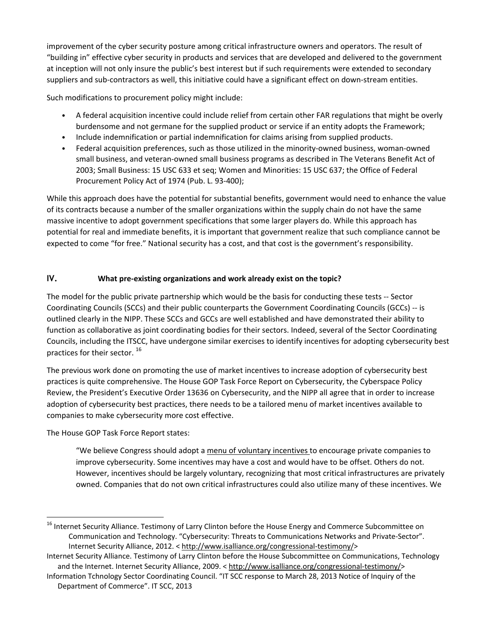improvement of the cyber security posture among critical infrastructure owners and operators. The result of "building in" effective cyber security in products and services that are developed and delivered to the government at inception will not only insure the public's best interest but if such requirements were extended to secondary suppliers and sub-contractors as well, this initiative could have a significant effect on down-stream entities.

Such modifications to procurement policy might include:

- *•* A federal acquisition incentive could include relief from certain other FAR regulations that might be overly burdensome and not germane for the supplied product or service if an entity adopts the Framework;
- *•* Include indemnification or partial indemnification for claims arising from supplied products.
- *•* Federal acquisition preferences, such as those utilized in the minority-owned business, woman-owned small business, and veteran-owned small business programs as described in The Veterans Benefit Act of 2003; Small Business: 15 USC 633 et seq; Women and Minorities: 15 USC 637; the Office of Federal Procurement Policy Act of 1974 (Pub. L. 93-400);

While this approach does have the potential for substantial benefits, government would need to enhance the value of its contracts because a number of the smaller organizations within the supply chain do not have the same massive incentive to adopt government specifications that some larger players do. While this approach has potential for real and immediate benefits, it is important that government realize that such compliance cannot be expected to come "for free." National security has a cost, and that cost is the government's responsibility.

# **IV. What pre-existing organizations and work already exist on the topic?**

The model for the public private partnership which would be the basis for conducting these tests -- Sector Coordinating Councils (SCCs) and their public counterparts the Government Coordinating Councils (GCCs) -- is outlined clearly in the NIPP. These SCCs and GCCs are well established and have demonstrated their ability to function as collaborative as joint coordinating bodies for their sectors. Indeed, several of the Sector Coordinating Councils, including the ITSCC, have undergone similar exercises to identify incentives for adopting cybersecurity best practices for their sector.<sup>16</sup>

The previous work done on promoting the use of market incentives to increase adoption of cybersecurity best practices is quite comprehensive. The House GOP Task Force Report on Cybersecurity, the Cyberspace Policy Review, the President's Executive Order 13636 on Cybersecurity, and the NIPP all agree that in order to increase adoption of cybersecurity best practices, there needs to be a tailored menu of market incentives available to companies to make cybersecurity more cost effective.

The House GOP Task Force Report states:

 $\overline{a}$ 

"We believe Congress should adopt a menu of voluntary incentives to encourage private companies to improve cybersecurity. Some incentives may have a cost and would have to be offset. Others do not. However, incentives should be largely voluntary, recognizing that most critical infrastructures are privately owned. Companies that do not own critical infrastructures could also utilize many of these incentives. We

<sup>&</sup>lt;sup>16</sup> Internet Security Alliance. Testimony of Larry Clinton before the House Energy and Commerce Subcommittee on Communication and Technology. "Cybersecurity: Threats to Communications Networks and Private-Sector". Internet Security Alliance, 2012. < [http://www.isalliance.org/congressional-testimony/>](http://www.isalliance.org/congressional-testimony/)

Internet Security Alliance. Testimony of Larry Clinton before the House Subcommittee on Communications, Technology and the Internet. Internet Security Alliance, 2009. < [http://www.isalliance.org/congressional-testimony/>](http://www.isalliance.org/congressional-testimony/)

Information Tchnology Sector Coordinating Council. "IT SCC response to March 28, 2013 Notice of Inquiry of the Department of Commerce". IT SCC, 2013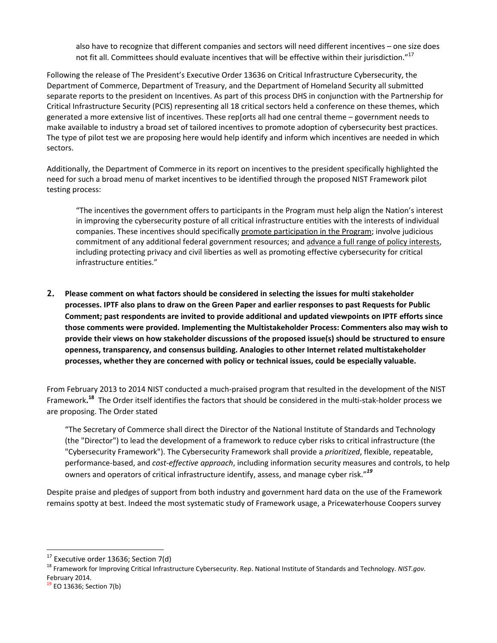also have to recognize that different companies and sectors will need different incentives – one size does not fit all. Committees should evaluate incentives that will be effective within their jurisdiction."<sup>17</sup>

Following the release of The President's Executive Order 13636 on Critical Infrastructure Cybersecurity, the Department of Commerce, Department of Treasury, and the Department of Homeland Security all submitted separate reports to the president on Incentives. As part of this process DHS in conjunction with the Partnership for Critical Infrastructure Security (PCIS) representing all 18 critical sectors held a conference on these themes, which generated a more extensive list of incentives. These rep[orts all had one central theme – government needs to make available to industry a broad set of tailored incentives to promote adoption of cybersecurity best practices. The type of pilot test we are proposing here would help identify and inform which incentives are needed in which sectors.

Additionally, the Department of Commerce in its report on incentives to the president specifically highlighted the need for such a broad menu of market incentives to be identified through the proposed NIST Framework pilot testing process:

"The incentives the government offers to participants in the Program must help align the Nation's interest in improving the cybersecurity posture of all critical infrastructure entities with the interests of individual companies. These incentives should specifically promote participation in the Program; involve judicious commitment of any additional federal government resources; and advance a full range of policy interests, including protecting privacy and civil liberties as well as promoting effective cybersecurity for critical infrastructure entities."

**2. Please comment on what factors should be considered in selecting the issues for multi stakeholder** processes. IPTF also plans to draw on the Green Paper and earlier responses to past Requests for Public **Comment; past respondents are invited to provide additional and updated viewpoints on IPTF efforts since those comments were provided. Implementing the Multistakeholder Process: Commenters also may wish to provide their views on how stakeholder discussions of the proposed issue(s) should be structured to ensure openness, transparency, and consensus building. Analogies to other Internet related multistakeholder processes, whether they are concerned with policy or technical issues, could be especially valuable.**

From February 2013 to 2014 NIST conducted a much-praised program that resulted in the development of the NIST Framework**. <sup>18</sup>** The Order itself identifies the factors that should be considered in the multi-stak-holder process we are proposing. The Order stated

"The Secretary of Commerce shall direct the Director of the National Institute of Standards and Technology (the "Director") to lead the development of a framework to reduce cyber risks to critical infrastructure (the "Cybersecurity Framework"). The Cybersecurity Framework shall provide a *prioritized*, flexible, repeatable, performance-based, and *cost-effective approach*, including information security measures and controls, to help owners and operators of critical infrastructure identify, assess, and manage cyber risk."*<sup>19</sup>*

Despite praise and pledges of support from both industry and government hard data on the use of the Framework remains spotty at best. Indeed the most systematic study of Framework usage, a Pricewaterhouse Coopers survey

 $\overline{a}$ 

 $17$  Executive order 13636; Section 7(d)

<sup>18</sup> Framework for Improving Critical Infrastructure Cybersecurity. Rep. National Institute of Standards and Technology. *NIST.gov.* February 2014.

 $19$  EO 13636; Section 7(b)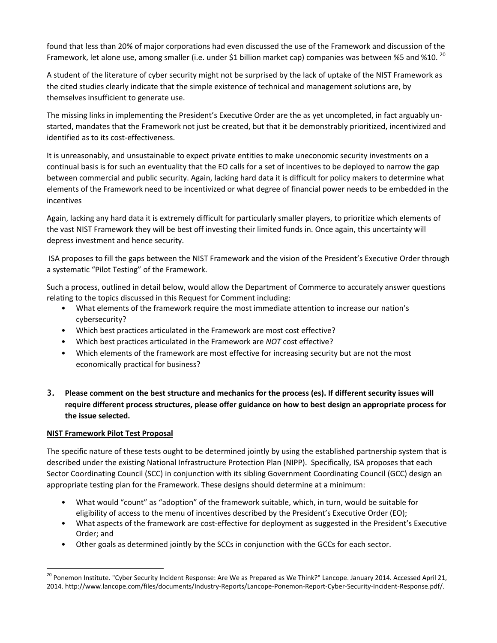found that less than 20% of major corporations had even discussed the use of the Framework and discussion of the Framework, let alone use, among smaller (i.e. under \$1 billion market cap) companies was between %5 and %10. <sup>20</sup>

A student of the literature of cyber security might not be surprised by the lack of uptake of the NIST Framework as the cited studies clearly indicate that the simple existence of technical and management solutions are, by themselves insufficient to generate use.

The missing links in implementing the President's Executive Order are the as yet uncompleted, in fact arguably unstarted, mandates that the Framework not just be created, but that it be demonstrably prioritized, incentivized and identified as to its cost-effectiveness.

It is unreasonably, and unsustainable to expect private entities to make uneconomic security investments on a continual basis is for such an eventuality that the EO calls for a set of incentives to be deployed to narrow the gap between commercial and public security. Again, lacking hard data it is difficult for policy makers to determine what elements of the Framework need to be incentivized or what degree of financial power needs to be embedded in the incentives

Again, lacking any hard data it is extremely difficult for particularly smaller players, to prioritize which elements of the vast NIST Framework they will be best off investing their limited funds in. Once again, this uncertainty will depress investment and hence security.

ISA proposes to fill the gaps between the NIST Framework and the vision of the President's Executive Order through a systematic "Pilot Testing" of the Framework.

Such a process, outlined in detail below, would allow the Department of Commerce to accurately answer questions relating to the topics discussed in this Request for Comment including:

- What elements of the framework require the most immediate attention to increase our nation's cybersecurity?
- Which best practices articulated in the Framework are most cost effective?
- Which best practices articulated in the Framework are *NOT* cost effective?
- Which elements of the framework are most effective for increasing security but are not the most economically practical for business?
- 3. Please comment on the best structure and mechanics for the process (es). If different security issues will **require different process structures, please offer guidance on how to best design an appropriate process for the issue selected.**

### **NIST Framework Pilot Test Proposal**

 $\overline{a}$ 

The specific nature of these tests ought to be determined jointly by using the established partnership system that is described under the existing National Infrastructure Protection Plan (NIPP). Specifically, ISA proposes that each Sector Coordinating Council (SCC) in conjunction with its sibling Government Coordinating Council (GCC) design an appropriate testing plan for the Framework. These designs should determine at a minimum:

- What would "count" as "adoption" of the framework suitable, which, in turn, would be suitable for eligibility of access to the menu of incentives described by the President's Executive Order (EO);
- What aspects of the framework are cost-effective for deployment as suggested in the President's Executive Order; and
- Other goals as determined jointly by the SCCs in conjunction with the GCCs for each sector.

<sup>&</sup>lt;sup>20</sup> Ponemon Institute. "Cyber Security Incident Response: Are We as Prepared as We Think?" Lancope. January 2014. Accessed April 21, 2014. http://www.lancope.com/files/documents/Industry-Reports/Lancope-Ponemon-Report-Cyber-Security-Incident-Response.pdf/.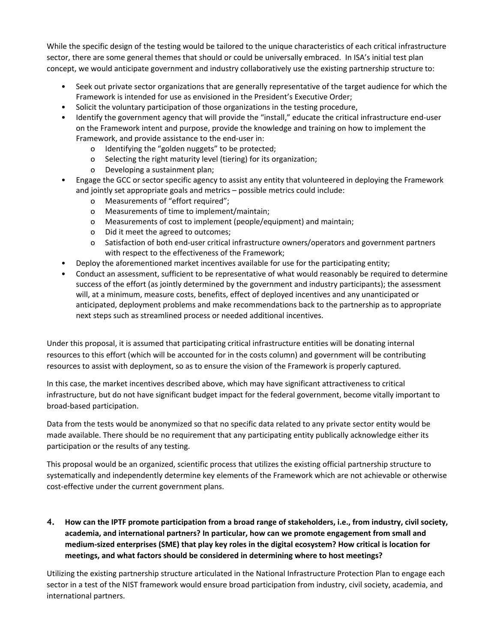While the specific design of the testing would be tailored to the unique characteristics of each critical infrastructure sector, there are some general themes that should or could be universally embraced. In ISA's initial test plan concept, we would anticipate government and industry collaboratively use the existing partnership structure to:

- Seek out private sector organizations that are generally representative of the target audience for which the Framework is intended for use as envisioned in the President's Executive Order;
- Solicit the voluntary participation of those organizations in the testing procedure,
- Identify the government agency that will provide the "install," educate the critical infrastructure end-user on the Framework intent and purpose, provide the knowledge and training on how to implement the Framework, and provide assistance to the end-user in:
	- o Identifying the "golden nuggets" to be protected;
	- o Selecting the right maturity level (tiering) for its organization;
	- o Developing a sustainment plan;
- Engage the GCC or sector specific agency to assist any entity that volunteered in deploying the Framework and jointly set appropriate goals and metrics – possible metrics could include:
	- o Measurements of "effort required";
	- o Measurements of time to implement/maintain;
	- o Measurements of cost to implement (people/equipment) and maintain;
	- o Did it meet the agreed to outcomes;
	- o Satisfaction of both end-user critical infrastructure owners/operators and government partners with respect to the effectiveness of the Framework;
- Deploy the aforementioned market incentives available for use for the participating entity;
- Conduct an assessment, sufficient to be representative of what would reasonably be required to determine success of the effort (as jointly determined by the government and industry participants); the assessment will, at a minimum, measure costs, benefits, effect of deployed incentives and any unanticipated or anticipated, deployment problems and make recommendations back to the partnership as to appropriate next steps such as streamlined process or needed additional incentives.

Under this proposal, it is assumed that participating critical infrastructure entities will be donating internal resources to this effort (which will be accounted for in the costs column) and government will be contributing resources to assist with deployment, so as to ensure the vision of the Framework is properly captured.

In this case, the market incentives described above, which may have significant attractiveness to critical infrastructure, but do not have significant budget impact for the federal government, become vitally important to broad-based participation.

Data from the tests would be anonymized so that no specific data related to any private sector entity would be made available. There should be no requirement that any participating entity publically acknowledge either its participation or the results of any testing.

This proposal would be an organized, scientific process that utilizes the existing official partnership structure to systematically and independently determine key elements of the Framework which are not achievable or otherwise cost-effective under the current government plans.

4. How can the IPTF promote participation from a broad range of stakeholders, i.e., from industry, civil society, **academia, and international partners? In particular, how can we promote engagement from small and medium-sized enterprises (SME) that play key roles in the digital ecosystem? How critical is location for meetings, and what factors should be considered in determining where to host meetings?**

Utilizing the existing partnership structure articulated in the National Infrastructure Protection Plan to engage each sector in a test of the NIST framework would ensure broad participation from industry, civil society, academia, and international partners.